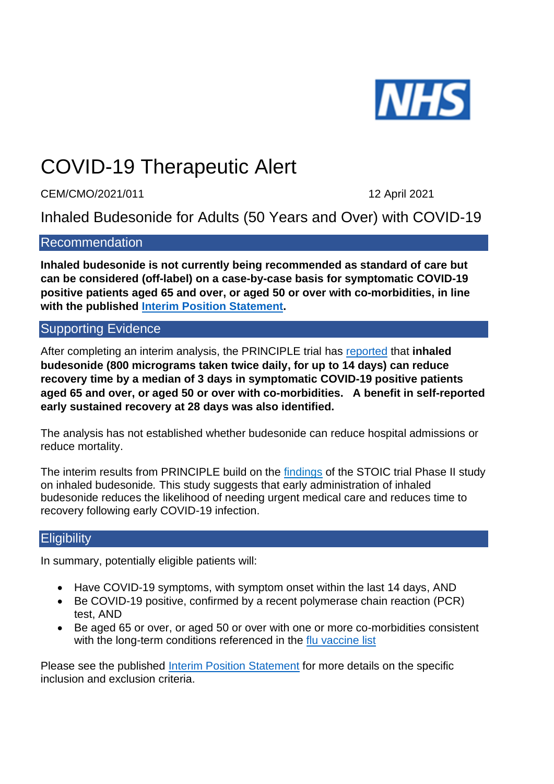

# COVID-19 Therapeutic Alert

CEM/CMO/2021/011 2021

Inhaled Budesonide for Adults (50 Years and Over) with COVID-19

# Recommendation

**Inhaled budesonide is not currently being recommended as standard of care but can be considered (off-label) on a case-by-case basis for symptomatic COVID-19 positive patients aged 65 and over, or aged 50 or over with co-morbidities, in line with the published [Interim Position Statement.](https://www.cas.mhra.gov.uk/ViewandAcknowledgment/ViewAlert.aspx?AlertID=103154)**

# Supporting Evidence

After completing an interim analysis, the PRINCIPLE trial has [reported](https://www.principletrial.org/results) that **inhaled budesonide (800 micrograms taken twice daily, for up to 14 days) can reduce recovery time by a median of 3 days in symptomatic COVID-19 positive patients aged 65 and over, or aged 50 or over with co-morbidities. A benefit in self-reported early sustained recovery at 28 days was also identified.**

The analysis has not established whether budesonide can reduce hospital admissions or reduce mortality.

The interim results from PRINCIPLE build on the [findings](https://www.thelancet.com/journals/lanres/article/PIIS2213-2600(21)00160-0/fulltext) of the STOIC trial Phase II study on inhaled budesonide*.* This study suggests that early administration of inhaled budesonide reduces the likelihood of needing urgent medical care and reduces time to recovery following early COVID-19 infection.

# Eligibility

In summary, potentially eligible patients will:

- Have COVID-19 symptoms, with symptom onset within the last 14 days, AND
- Be COVID-19 positive, confirmed by a recent polymerase chain reaction (PCR) test, AND
- Be aged 65 or over, or aged 50 or over with one or more co-morbidities consistent with the long-term conditions referenced in the [flu vaccine list](https://www.nhs.uk/conditions/vaccinations/flu-influenza-vaccine/)

Please see the published [Interim Position Statement](https://www.cas.mhra.gov.uk/ViewandAcknowledgment/ViewAlert.aspx?AlertID=103154) for more details on the specific inclusion and exclusion criteria.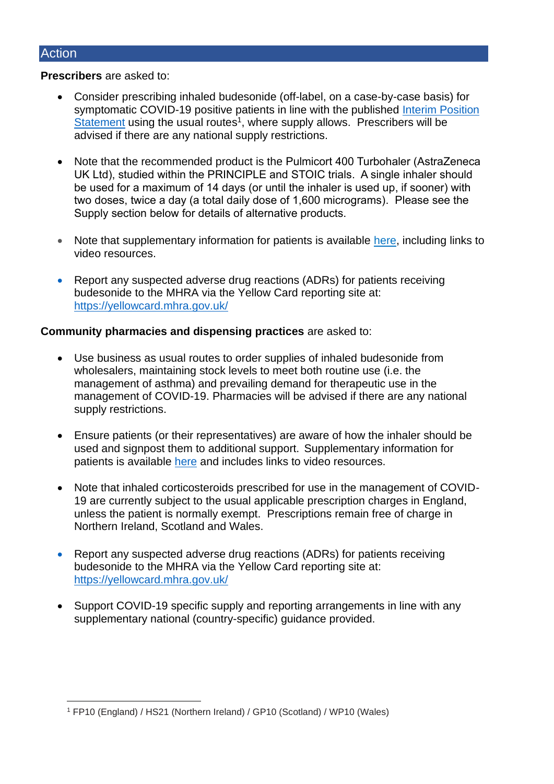### Action

#### **Prescribers** are asked to:

- Consider prescribing inhaled budesonide (off-label, on a case-by-case basis) for symptomatic COVID-19 positive patients in line with the published Interim Position [Statement](https://www.cas.mhra.gov.uk/ViewandAcknowledgment/ViewAlert.aspx?AlertID=103154) using the usual routes<sup>1</sup>, where supply allows. Prescribers will be advised if there are any national supply restrictions.
- Note that the recommended product is the Pulmicort 400 Turbohaler (AstraZeneca UK Ltd), studied within the PRINCIPLE and STOIC trials. A single inhaler should be used for a maximum of 14 days (or until the inhaler is used up, if sooner) with two doses, twice a day (a total daily dose of 1,600 micrograms). Please see the Supply section below for details of alternative products.
- Note that supplementary information for patients is available [here,](https://www.nhs.uk/medicines/budesonide-inhalers/) including links to video resources.
- Report any suspected adverse drug reactions (ADRs) for patients receiving budesonide to the MHRA via the Yellow Card reporting site at: <https://yellowcard.mhra.gov.uk/>

### **Community pharmacies and dispensing practices** are asked to:

- Use business as usual routes to order supplies of inhaled budesonide from wholesalers, maintaining stock levels to meet both routine use (i.e. the management of asthma) and prevailing demand for therapeutic use in the management of COVID-19. Pharmacies will be advised if there are any national supply restrictions.
- Ensure patients (or their representatives) are aware of how the inhaler should be used and signpost them to additional support. Supplementary information for patients is available [here](https://www.nhs.uk/medicines/budesonide-inhalers/) and includes links to video resources.
- Note that inhaled corticosteroids prescribed for use in the management of COVID-19 are currently subject to the usual applicable prescription charges in England, unless the patient is normally exempt. Prescriptions remain free of charge in Northern Ireland, Scotland and Wales.
- Report any suspected adverse drug reactions (ADRs) for patients receiving budesonide to the MHRA via the Yellow Card reporting site at: <https://yellowcard.mhra.gov.uk/>
- Support COVID-19 specific supply and reporting arrangements in line with any supplementary national (country-specific) guidance provided.

<sup>1</sup> FP10 (England) / HS21 (Northern Ireland) / GP10 (Scotland) / WP10 (Wales)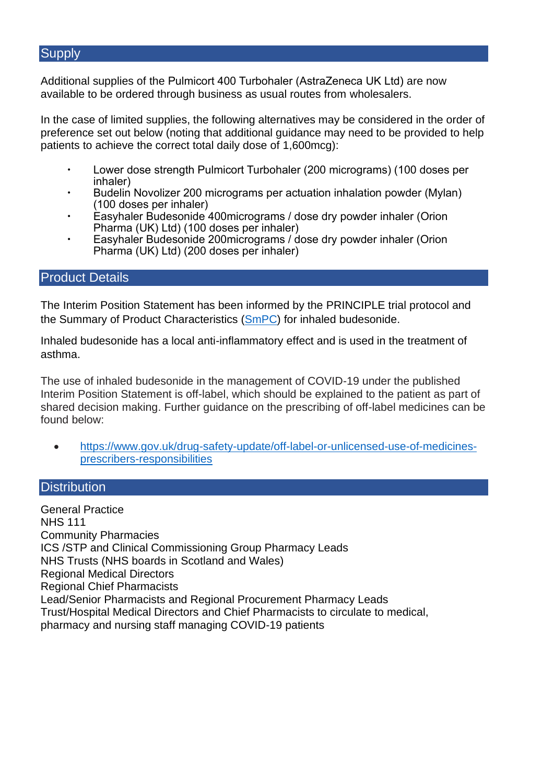# **Supply**

Additional supplies of the Pulmicort 400 Turbohaler (AstraZeneca UK Ltd) are now available to be ordered through business as usual routes from wholesalers.

In the case of limited supplies, the following alternatives may be considered in the order of preference set out below (noting that additional guidance may need to be provided to help patients to achieve the correct total daily dose of 1,600mcg):

- Lower dose strength Pulmicort Turbohaler (200 micrograms) (100 doses per inhaler)
- Budelin Novolizer 200 micrograms per actuation inhalation powder (Mylan) (100 doses per inhaler)
- Easyhaler Budesonide 400micrograms / dose dry powder inhaler (Orion Pharma (UK) Ltd) (100 doses per inhaler)
- Easyhaler Budesonide 200micrograms / dose dry powder inhaler (Orion Pharma (UK) Ltd) (200 doses per inhaler)

# Product Details

The Interim Position Statement has been informed by the PRINCIPLE trial protocol and the Summary of Product Characteristics [\(SmPC\)](https://www.medicines.org.uk/emc/product/1386/smpc#gref) for inhaled budesonide.

Inhaled budesonide has a local anti-inflammatory effect and is used in the treatment of asthma.

The use of inhaled budesonide in the management of COVID-19 under the published Interim Position Statement is off-label, which should be explained to the patient as part of shared decision making. Further guidance on the prescribing of off-label medicines can be found below:

• [https://www.gov.uk/drug-safety-update/off-label-or-unlicensed-use-of-medicines](https://www.gov.uk/drug-safety-update/off-label-or-unlicensed-use-of-medicines-prescribers-responsibilities)[prescribers-responsibilities](https://www.gov.uk/drug-safety-update/off-label-or-unlicensed-use-of-medicines-prescribers-responsibilities)

# **Distribution**

General Practice NHS 111 Community Pharmacies ICS /STP and Clinical Commissioning Group Pharmacy Leads NHS Trusts (NHS boards in Scotland and Wales) Regional Medical Directors Regional Chief Pharmacists Lead/Senior Pharmacists and Regional Procurement Pharmacy Leads Trust/Hospital Medical Directors and Chief Pharmacists to circulate to medical, pharmacy and nursing staff managing COVID-19 patients